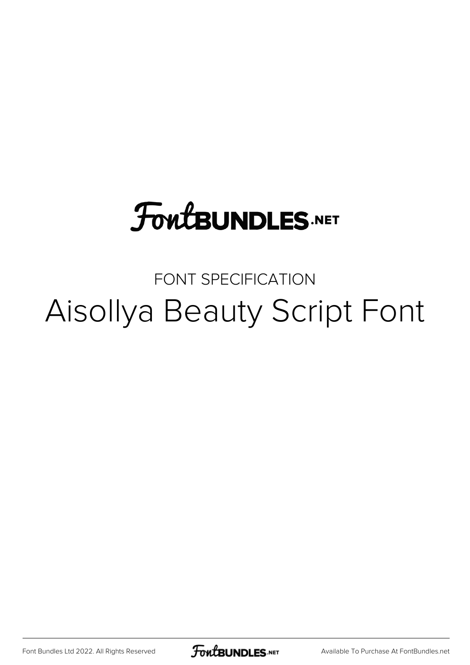# **FoutBUNDLES.NET**

## FONT SPECIFICATION Aisollya Beauty Script Font

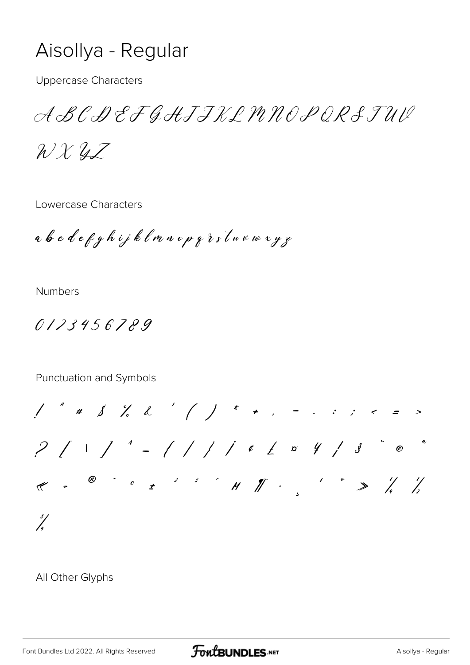### Aisollya - Regular

**Uppercase Characters** 

ABCDEFGHJJKLMNOPORSTUV

 $2x2z$ 

Lowercase Characters

abcdefghijklmnopgrstuewxyz

**Numbers** 

0123456789

#### Punctuation and Symbols

 $\frac{3}{2}$ 

All Other Glyphs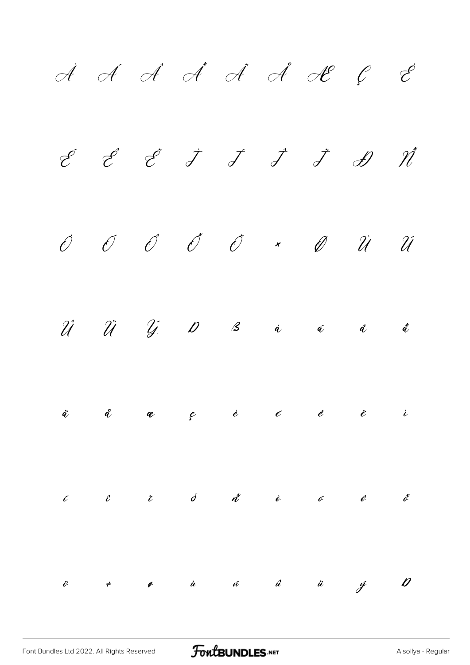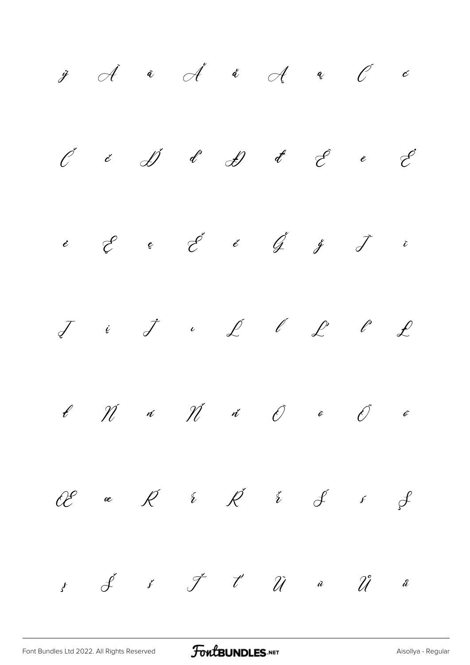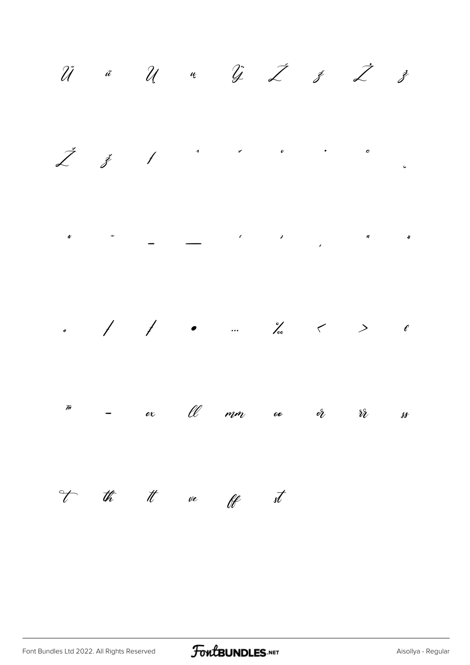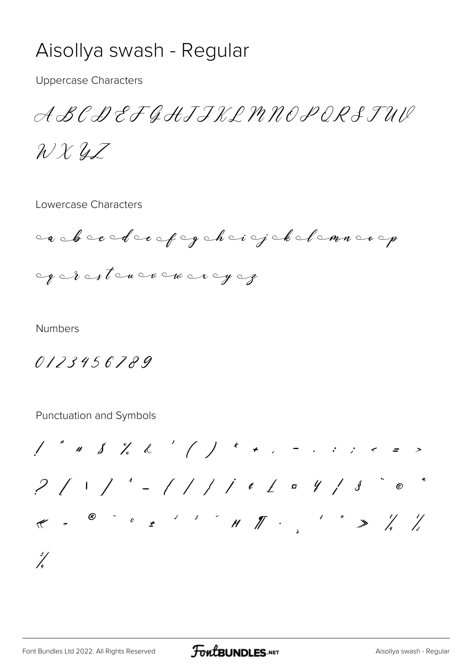### Aisollya swash - Regular

**Uppercase Characters** 

ABCDEFGHJJKLMNOPORSTUV

 $2x2z$ 

Lowercase Characters

abecdecopychaigekolemnoop excrestence were yez

**Numbers** 

0123456789

Punctuation and Symbols

 $1$  " # \$ % & ' ( ) \* + , - . . . < = >  $2$  / 1 ]  $1 -$  / / / / e  $1 -$  a  $4$  /  $3 -$  e  $1 \begin{array}{cccccccccccccccccc} \mathcal{C} & & \mathcal{C} & & \mathcal{C} & & \mathcal{C} & & \mathcal{C} & & \mathcal{C} & & \mathcal{C} & & \mathcal{C} & & \mathcal{C} & & \mathcal{C} & & \mathcal{C} & & \mathcal{C} & & \mathcal{C} & & \mathcal{C} & & \mathcal{C} & & \mathcal{C} & & \mathcal{C} & & \mathcal{C} & & \mathcal{C} & & \mathcal{C} & & \mathcal{C} & & \mathcal{C} & & \mathcal{C} & & \mathcal{C} & & \mathcal{C} & & \mathcal{C} & & \$  $\frac{3}{2}$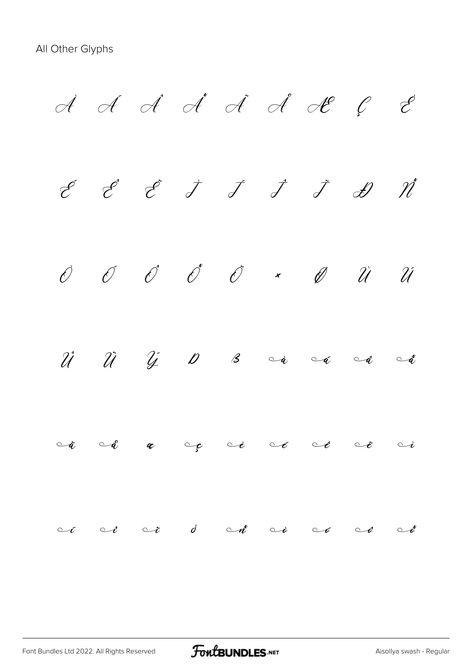$\cal{A}$   $\cal{A}$   $\cal{A}$   $\cal{A}$   $\cal{A}$   $\cal{A}$   $\cal{A}$   $\cal{C}$   $\cal{E}$ É Ê Ë Ì Í Î Ï Ð Ñ Ò Ó Ô Õ Ö × Ø Ù Ú  $\hat{\mathcal{U}}$   $\hat{\mathcal{U}}$   $\hat{\mathcal{Y}}$   $\hat{\mathcal{U}}$   $\hat{\mathcal{B}}$   $\hat{\mathcal{S}}$   $\circ$   $\hat{\mathcal{A}}$   $\circ$   $\hat{\mathcal{A}}$   $\circ$   $\hat{\mathcal{A}}$  $\circ$ å  $\circ$ å æ  $\circ$ g  $\circ$ é  $\circ$ é  $\circ$ é  $\circ$  $ototot cd$   $\circ d$   $\circ d$   $\circ d$   $\circ e$   $\circ e$   $\circ d$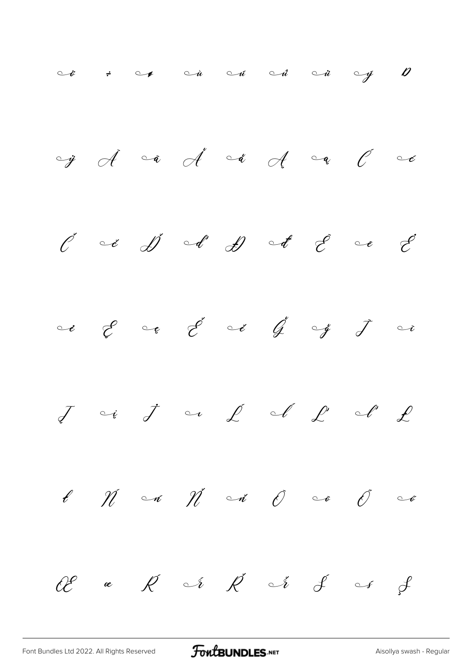